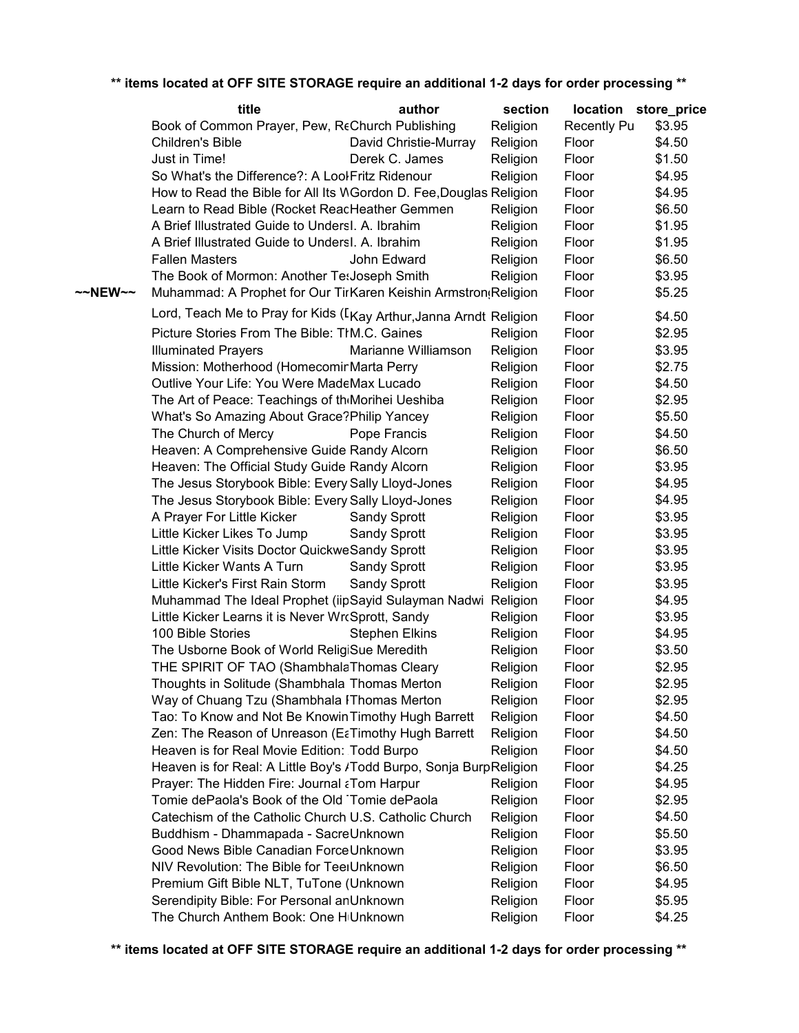|         | title                                                              | author                | section  |             | location store_price |
|---------|--------------------------------------------------------------------|-----------------------|----------|-------------|----------------------|
|         | Book of Common Prayer, Pew, ReChurch Publishing                    |                       | Religion | Recently Pu | \$3.95               |
|         | <b>Children's Bible</b>                                            | David Christie-Murray | Religion | Floor       | \$4.50               |
|         | Just in Time!                                                      | Derek C. James        | Religion | Floor       | \$1.50               |
|         | So What's the Difference?: A LoolFritz Ridenour                    |                       | Religion | Floor       | \$4.95               |
|         | How to Read the Bible for All Its WGordon D. Fee, Douglas Religion |                       |          | Floor       | \$4.95               |
|         | Learn to Read Bible (Rocket ReadHeather Gemmen                     |                       | Religion | Floor       | \$6.50               |
|         | A Brief Illustrated Guide to Undersl. A. Ibrahim                   |                       |          |             | \$1.95               |
|         |                                                                    |                       | Religion | Floor       |                      |
|         | A Brief Illustrated Guide to Undersl. A. Ibrahim                   |                       | Religion | Floor       | \$1.95               |
|         | <b>Fallen Masters</b>                                              | John Edward           | Religion | Floor       | \$6.50               |
|         | The Book of Mormon: Another Te: Joseph Smith                       |                       | Religion | Floor       | \$3.95               |
| ~~NEW~~ | Muhammad: A Prophet for Our TirKaren Keishin Armstron(Religion     |                       |          | Floor       | \$5.25               |
|         | Lord, Teach Me to Pray for Kids (LKay Arthur, Janna Arndt Religion |                       |          | Floor       | \$4.50               |
|         | Picture Stories From The Bible: TIM.C. Gaines                      |                       | Religion | Floor       | \$2.95               |
|         | <b>Illuminated Prayers</b>                                         | Marianne Williamson   | Religion | Floor       | \$3.95               |
|         | Mission: Motherhood (HomecominMarta Perry                          |                       | Religion | Floor       | \$2.75               |
|         | Outlive Your Life: You Were MadeMax Lucado                         |                       |          |             |                      |
|         |                                                                    |                       | Religion | Floor       | \$4.50               |
|         | The Art of Peace: Teachings of theMorihei Ueshiba                  |                       | Religion | Floor       | \$2.95               |
|         | What's So Amazing About Grace? Philip Yancey                       |                       | Religion | Floor       | \$5.50               |
|         | The Church of Mercy                                                | Pope Francis          | Religion | Floor       | \$4.50               |
|         | Heaven: A Comprehensive Guide Randy Alcorn                         |                       | Religion | Floor       | \$6.50               |
|         | Heaven: The Official Study Guide Randy Alcorn                      |                       | Religion | Floor       | \$3.95               |
|         | The Jesus Storybook Bible: Every Sally Lloyd-Jones                 |                       | Religion | Floor       | \$4.95               |
|         | The Jesus Storybook Bible: Every Sally Lloyd-Jones                 |                       | Religion | Floor       | \$4.95               |
|         | A Prayer For Little Kicker                                         | <b>Sandy Sprott</b>   | Religion | Floor       | \$3.95               |
|         | Little Kicker Likes To Jump                                        | <b>Sandy Sprott</b>   | Religion | Floor       | \$3.95               |
|         | Little Kicker Visits Doctor QuickweSandy Sprott                    |                       | Religion | Floor       | \$3.95               |
|         | Little Kicker Wants A Turn                                         | <b>Sandy Sprott</b>   | Religion | Floor       | \$3.95               |
|         | Little Kicker's First Rain Storm                                   | <b>Sandy Sprott</b>   | Religion | Floor       | \$3.95               |
|         | Muhammad The Ideal Prophet (iipSayid Sulayman Nadwi Religion       |                       |          | Floor       | \$4.95               |
|         | Little Kicker Learns it is Never WrcSprott, Sandy                  |                       | Religion | Floor       | \$3.95               |
|         | 100 Bible Stories                                                  | <b>Stephen Elkins</b> | Religion | Floor       | \$4.95               |
|         | The Usborne Book of World ReligiSue Meredith                       |                       | Religion | Floor       | \$3.50               |
|         |                                                                    |                       |          |             |                      |
|         | THE SPIRIT OF TAO (ShambhalaThomas Cleary                          |                       | Religion | Floor       | \$2.95               |
|         | Thoughts in Solitude (Shambhala Thomas Merton                      |                       | Religion | Floor       | \$2.95               |
|         | Way of Chuang Tzu (Shambhala IThomas Merton                        |                       | Religion | Floor       | \$2.95               |
|         | Tao: To Know and Not Be Knowin Timothy Hugh Barrett                |                       | Religion | Floor       | \$4.50               |
|         | Zen: The Reason of Unreason (EaTimothy Hugh Barrett                |                       | Religion | Floor       | \$4.50               |
|         | Heaven is for Real Movie Edition: Todd Burpo                       |                       | Religion | Floor       | \$4.50               |
|         | Heaven is for Real: A Little Boy's /Todd Burpo, Sonja BurpReligion |                       |          | Floor       | \$4.25               |
|         | Prayer: The Hidden Fire: Journal aTom Harpur                       |                       | Religion | Floor       | \$4.95               |
|         | Tomie dePaola's Book of the Old Tomie dePaola                      |                       | Religion | Floor       | \$2.95               |
|         | Catechism of the Catholic Church U.S. Catholic Church              |                       | Religion | Floor       | \$4.50               |
|         | Buddhism - Dhammapada - SacreUnknown                               |                       | Religion | Floor       | \$5.50               |
|         | Good News Bible Canadian ForceUnknown                              |                       | Religion | Floor       | \$3.95               |
|         | NIV Revolution: The Bible for TeerUnknown                          |                       |          | Floor       | \$6.50               |
|         |                                                                    |                       | Religion |             |                      |
|         | Premium Gift Bible NLT, TuTone (Unknown                            |                       | Religion | Floor       | \$4.95               |
|         | Serendipity Bible: For Personal anUnknown                          |                       | Religion | Floor       | \$5.95               |
|         | The Church Anthem Book: One H <sub>I</sub> Unknown                 |                       | Religion | Floor       | \$4.25               |

## **\*\* items located at OFF SITE STORAGE require an additional 1-2 days for order processing \*\***

**\*\* items located at OFF SITE STORAGE require an additional 1-2 days for order processing \*\***